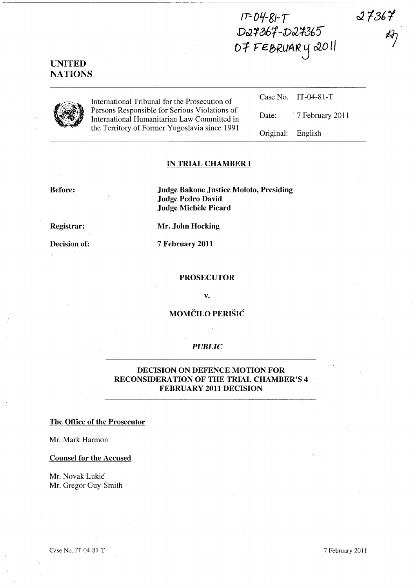**IT-** *Ol/-gJ-T*  D~ **1 (!;61-***DJ. ':I3b* 5" 07 FEBRUAR Y 2011  $27367$ 

**UNITED NATIONS** 

International Tribunal for the Prosecution of Persons Responsible for Serious Violations of International Humanitarian Law Committed in the Territory of Former Yugoslavia since 1991 Case No. IT-04-81-T Date: 7 February 2011 Original: English

### **IN TRIAL CHAMBER I**

**Before:** 

**Judge Bakone Justice Moloto, Presiding Judge Pedro David Judge Michèle Picard** 

**Registrar:** 

**Decision of:** 

**Mr. John Hocking** 

**7 February 2011** 

#### **PROSECUTOR**

**v.** 

# **MOMCILO PERISIC**

## *PUBLIC*

### **DECISION ON DEFENCE MOTION FOR RECONSIDERA** TION **OF THE TRIAL CHAMBER'S 4 FEBRUARY 2011 DECISION**

## **The Office of the Prosecutor**

Mr. Mark Harmon

**Counsel for the Accused** 

Mr. Novak Lukic Mr. Gregor Guy-Smith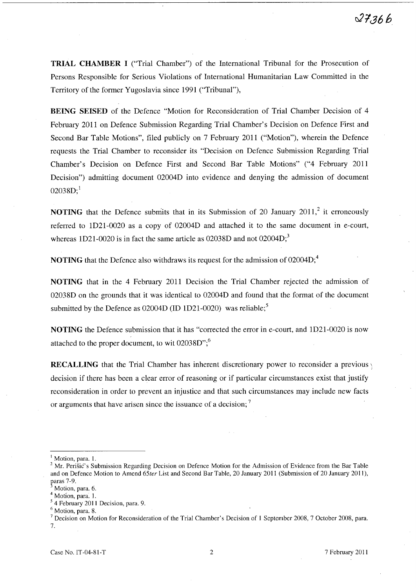TRIAL CHAMBER I ("Trial Chamber") of the International Tribunal for the Prosecution of Persons Responsible for Serious Violations of International Humanitarian Law Committed in the Territory of the former Yugoslavia since 1991 ("Tribunal"),

BEING SEISED of the Defence "Motion for Reconsideration of Trial Chamber Decision of 4 February 2011 on Defence Submission Regarding Trial Chamber's Decision on Defence First and Second Bar Table Motions", filed publicly on 7 February 2011 ("Motion"), wherein the Defence requests the Trial Chamber to reconsider its "Decision on Defence Submission Regarding Trial Chamber's Decision on Defence First and Second Bar Table Motions" ("4 February 2011 Decision") admitting document 02004D into evidence and denying the admission of document  $02038D;$ <sup>1</sup>

NOTING that the Defence submits that in its Submission of 20 January  $2011$ ,<sup>2</sup> it erroneously referred to 1D21-0020 as a copy of 02004D and attached it to the same document in e-court, whereas  $1D21-0020$  is in fact the same article as  $02038D$  and not  $02004D$ ;<sup>3</sup>

**NOTING** that the Defence also withdraws its request for the admission of  $02004D$ ;<sup>4</sup>

NOTING that in the 4 February 2011 Decision the Trial Chamber rejected the admission of 02038D on the grounds that it was identical to 02004D and found that the format of the document submitted by the Defence as 02004D (ID 1D21-0020) was reliable;<sup>5</sup>

NOTING the Defence submission that it has "corrected the error in e-court, and 1D21-0020 is now attached to the proper document, to wit  $02038D$ ";<sup>6</sup>

**RECALLING** that the Trial Chamber has inherent discretionary power to reconsider a previous decision if there has been a clear error of reasoning or if particular circumstances exist that justify reconsideration in order to prevent an injustice and that such circumstances may include new facts or arguments that have arisen since the issuance of a decision;<sup>7</sup>

<sup>&</sup>lt;sup>1</sup> Motion, para. 1.

<sup>&</sup>lt;sup>2</sup> Mr. Perisic's Submission Regarding Decision on Defence Motion for the Admission of Evidence from the Bar Table and on Defence Motion to Amend 65ter List and Second Bar Table, 20 January 2011 (Submission of 20 January 2011), paras 7-9.<br><sup>3</sup> Motion, para. 6.

Motion, para. 1.

 $<sup>5</sup>$  4 February 2011 Decision, para. 9.</sup>

<sup>6</sup> Motion, para. 8.

<sup>7</sup> Decision on Motion for Reconsideration of the Trial Chamber's Decision of 1 September 2008, 7 October 2008, para. 7.